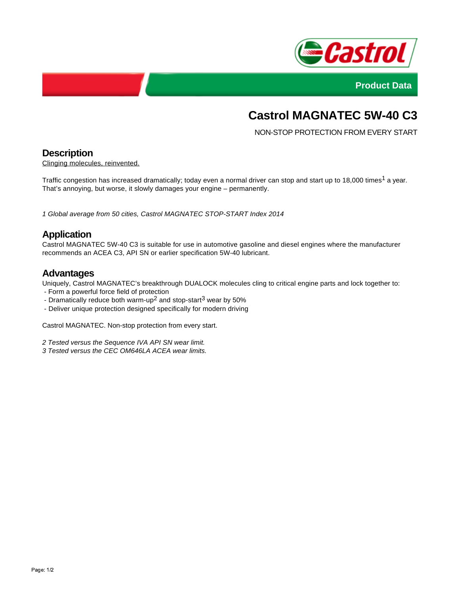



# **Castrol MAGNATEC 5W-40 C3**

NON-STOP PROTECTION FROM EVERY START

# **Description**

Clinging molecules, reinvented.

Traffic congestion has increased dramatically; today even a normal driver can stop and start up to 18,000 times<sup>1</sup> a year. That's annoying, but worse, it slowly damages your engine – permanently.

1 Global average from 50 cities, Castrol MAGNATEC STOP-START Index 2014

# **Application**

Castrol MAGNATEC 5W-40 C3 is suitable for use in automotive gasoline and diesel engines where the manufacturer recommends an ACEA C3, API SN or earlier specification 5W-40 lubricant.

#### **Advantages**

Uniquely, Castrol MAGNATEC's breakthrough DUALOCK molecules cling to critical engine parts and lock together to:

- Form a powerful force field of protection
- Dramatically reduce both warm-up<sup>2</sup> and stop-start<sup>3</sup> wear by 50%
- Deliver unique protection designed specifically for modern driving

Castrol MAGNATEC. Non-stop protection from every start.

2 Tested versus the Sequence IVA API SN wear limit.

3 Tested versus the CEC OM646LA ACEA wear limits.